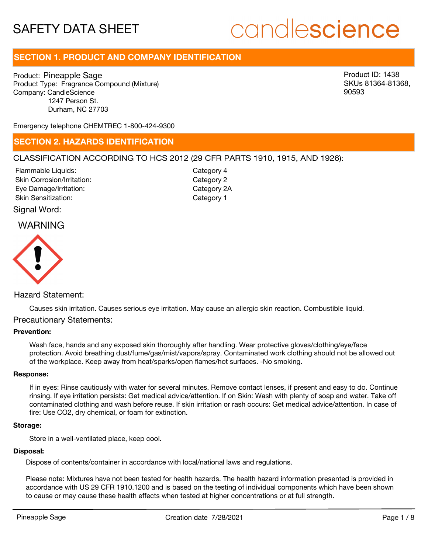# candlescience

# **SECTION 1. PRODUCT AND COMPANY IDENTIFICATION**

Product: Pineapple Sage Product Type: Fragrance Compound (Mixture) Company: CandleScience 1247 Person St. Durham, NC 27703

Product ID: 1438 SKUs 81364-81368, 90593

Emergency telephone CHEMTREC 1-800-424-9300

# **SECTION 2. HAZARDS IDENTIFICATION**

# CLASSIFICATION ACCORDING TO HCS 2012 (29 CFR PARTS 1910, 1915, AND 1926):

Skin Corrosion/Irritation: Eye Damage/Irritation: Skin Sensitization: Flammable Liquids:

Category 2 Category 2A Category 1 Category 4

Signal Word:

# WARNING



# Hazard Statement:

Causes skin irritation. Causes serious eye irritation. May cause an allergic skin reaction. Combustible liquid.

# Precautionary Statements:

#### **Prevention:**

Wash face, hands and any exposed skin thoroughly after handling. Wear protective gloves/clothing/eye/face protection. Avoid breathing dust/fume/gas/mist/vapors/spray. Contaminated work clothing should not be allowed out of the workplace. Keep away from heat/sparks/open flames/hot surfaces. -No smoking.

#### **Response:**

If in eyes: Rinse cautiously with water for several minutes. Remove contact lenses, if present and easy to do. Continue rinsing. If eye irritation persists: Get medical advice/attention. If on Skin: Wash with plenty of soap and water. Take off contaminated clothing and wash before reuse. If skin irritation or rash occurs: Get medical advice/attention. In case of fire: Use CO2, dry chemical, or foam for extinction.

#### **Storage:**

Store in a well-ventilated place, keep cool.

#### **Disposal:**

Dispose of contents/container in accordance with local/national laws and regulations.

Please note: Mixtures have not been tested for health hazards. The health hazard information presented is provided in accordance with US 29 CFR 1910.1200 and is based on the testing of individual components which have been shown to cause or may cause these health effects when tested at higher concentrations or at full strength.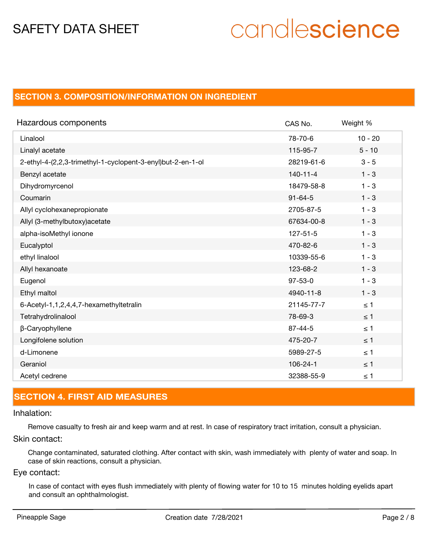# candlescience

# **SECTION 3. COMPOSITION/INFORMATION ON INGREDIENT**

| Hazardous components                                        | CAS No.        | Weight %  |
|-------------------------------------------------------------|----------------|-----------|
| Linalool                                                    | 78-70-6        | $10 - 20$ |
| Linalyl acetate                                             | 115-95-7       | $5 - 10$  |
| 2-ethyl-4-(2,2,3-trimethyl-1-cyclopent-3-enyl)but-2-en-1-ol | 28219-61-6     | $3 - 5$   |
| Benzyl acetate                                              | $140 - 11 - 4$ | $1 - 3$   |
| Dihydromyrcenol                                             | 18479-58-8     | $1 - 3$   |
| Coumarin                                                    | $91 - 64 - 5$  | $1 - 3$   |
| Allyl cyclohexanepropionate                                 | 2705-87-5      | $1 - 3$   |
| Allyl (3-methylbutoxy) acetate                              | 67634-00-8     | $1 - 3$   |
| alpha-isoMethyl ionone                                      | $127 - 51 - 5$ | $1 - 3$   |
| Eucalyptol                                                  | 470-82-6       | $1 - 3$   |
| ethyl linalool                                              | 10339-55-6     | $1 - 3$   |
| Allyl hexanoate                                             | 123-68-2       | $1 - 3$   |
| Eugenol                                                     | $97 - 53 - 0$  | $1 - 3$   |
| Ethyl maltol                                                | 4940-11-8      | $1 - 3$   |
| 6-Acetyl-1,1,2,4,4,7-hexamethyltetralin                     | 21145-77-7     | $\leq 1$  |
| Tetrahydrolinalool                                          | 78-69-3        | $\leq$ 1  |
| β-Caryophyllene                                             | $87 - 44 - 5$  | $\leq 1$  |
| Longifolene solution                                        | 475-20-7       | $\leq 1$  |
| d-Limonene                                                  | 5989-27-5      | $\leq 1$  |
| Geraniol                                                    | 106-24-1       | $\leq$ 1  |
| Acetyl cedrene                                              | 32388-55-9     | $\leq 1$  |

# **SECTION 4. FIRST AID MEASURES**

#### Inhalation:

Remove casualty to fresh air and keep warm and at rest. In case of respiratory tract irritation, consult a physician.

Skin contact:

Change contaminated, saturated clothing. After contact with skin, wash immediately with plenty of water and soap. In case of skin reactions, consult a physician.

# Eye contact:

In case of contact with eyes flush immediately with plenty of flowing water for 10 to 15 minutes holding eyelids apart and consult an ophthalmologist.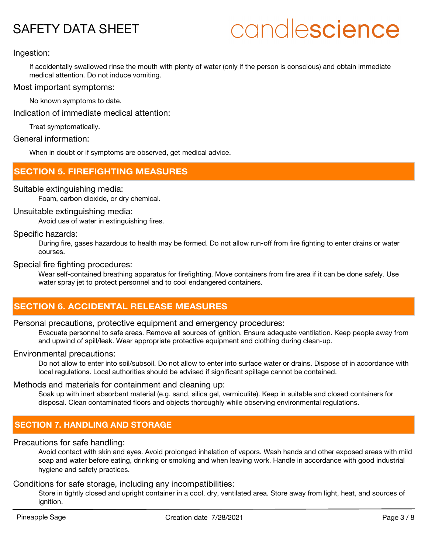# candlescience

# Ingestion:

If accidentally swallowed rinse the mouth with plenty of water (only if the person is conscious) and obtain immediate medical attention. Do not induce vomiting.

# Most important symptoms:

No known symptoms to date.

Indication of immediate medical attention:

Treat symptomatically.

### General information:

When in doubt or if symptoms are observed, get medical advice.

# **SECTION 5. FIREFIGHTING MEASURES**

### Suitable extinguishing media:

Foam, carbon dioxide, or dry chemical.

# Unsuitable extinguishing media:

Avoid use of water in extinguishing fires.

### Specific hazards:

During fire, gases hazardous to health may be formed. Do not allow run-off from fire fighting to enter drains or water courses.

#### Special fire fighting procedures:

Wear self-contained breathing apparatus for firefighting. Move containers from fire area if it can be done safely. Use water spray jet to protect personnel and to cool endangered containers.

# **SECTION 6. ACCIDENTAL RELEASE MEASURES**

### Personal precautions, protective equipment and emergency procedures:

Evacuate personnel to safe areas. Remove all sources of ignition. Ensure adequate ventilation. Keep people away from and upwind of spill/leak. Wear appropriate protective equipment and clothing during clean-up.

#### Environmental precautions:

Do not allow to enter into soil/subsoil. Do not allow to enter into surface water or drains. Dispose of in accordance with local regulations. Local authorities should be advised if significant spillage cannot be contained.

#### Methods and materials for containment and cleaning up:

Soak up with inert absorbent material (e.g. sand, silica gel, vermiculite). Keep in suitable and closed containers for disposal. Clean contaminated floors and objects thoroughly while observing environmental regulations.

# **SECTION 7. HANDLING AND STORAGE**

# Precautions for safe handling:

Avoid contact with skin and eyes. Avoid prolonged inhalation of vapors. Wash hands and other exposed areas with mild soap and water before eating, drinking or smoking and when leaving work. Handle in accordance with good industrial hygiene and safety practices.

# Conditions for safe storage, including any incompatibilities:

Store in tightly closed and upright container in a cool, dry, ventilated area. Store away from light, heat, and sources of ignition.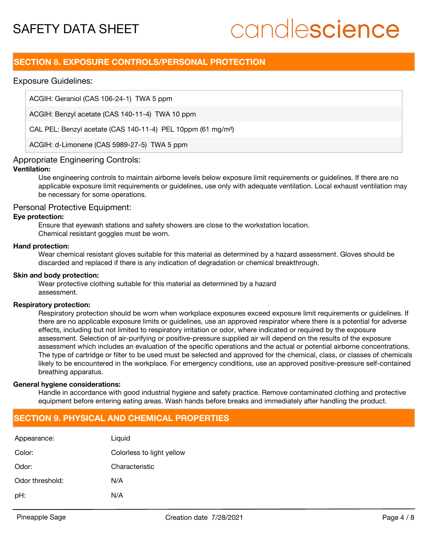# candlescience

# **SECTION 8. EXPOSURE CONTROLS/PERSONAL PROTECTION**

# Exposure Guidelines:

ACGIH: Geraniol (CAS 106-24-1) TWA 5 ppm

ACGIH: Benzyl acetate (CAS 140-11-4) TWA 10 ppm

CAL PEL: Benzyl acetate (CAS 140-11-4) PEL 10ppm (61 mg/m<sup>3</sup>)

ACGIH: d-Limonene (CAS 5989-27-5) TWA 5 ppm

# Appropriate Engineering Controls:

# **Ventilation:**

Use engineering controls to maintain airborne levels below exposure limit requirements or guidelines. If there are no applicable exposure limit requirements or guidelines, use only with adequate ventilation. Local exhaust ventilation may be necessary for some operations.

#### Personal Protective Equipment:

#### **Eye protection:**

Ensure that eyewash stations and safety showers are close to the workstation location. Chemical resistant goggles must be worn.

#### **Hand protection:**

Wear chemical resistant gloves suitable for this material as determined by a hazard assessment. Gloves should be discarded and replaced if there is any indication of degradation or chemical breakthrough.

#### **Skin and body protection:**

Wear protective clothing suitable for this material as determined by a hazard assessment.

#### **Respiratory protection:**

Respiratory protection should be worn when workplace exposures exceed exposure limit requirements or guidelines. If there are no applicable exposure limits or guidelines, use an approved respirator where there is a potential for adverse effects, including but not limited to respiratory irritation or odor, where indicated or required by the exposure assessment. Selection of air-purifying or positive-pressure supplied air will depend on the results of the exposure assessment which includes an evaluation of the specific operations and the actual or potential airborne concentrations. The type of cartridge or filter to be used must be selected and approved for the chemical, class, or classes of chemicals likely to be encountered in the workplace. For emergency conditions, use an approved positive-pressure self-contained breathing apparatus.

#### **General hygiene considerations:**

Handle in accordance with good industrial hygiene and safety practice. Remove contaminated clothing and protective equipment before entering eating areas. Wash hands before breaks and immediately after handling the product.

# **SECTION 9. PHYSICAL AND CHEMICAL PROPERTIES**

| Appearance:     | Liquid                    |
|-----------------|---------------------------|
| Color:          | Colorless to light yellow |
| Odor:           | Characteristic            |
| Odor threshold: | N/A                       |
| pH:             | N/A                       |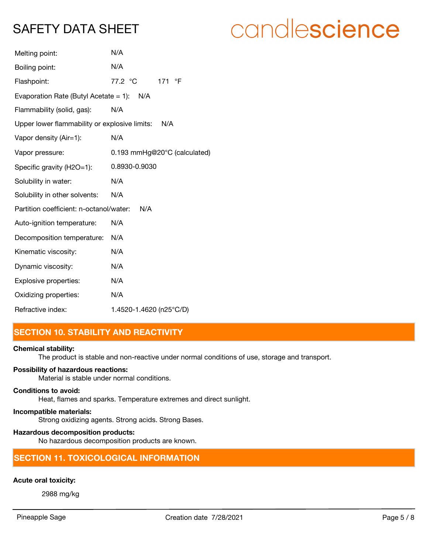# candlescience

| Melting point:                                | N/A                          |
|-----------------------------------------------|------------------------------|
| Boiling point:                                | N/A                          |
| Flashpoint:                                   | 171 °F<br>77.2 °C            |
| Evaporation Rate (Butyl Acetate = 1): $N/A$   |                              |
| Flammability (solid, gas):                    | N/A                          |
| Upper lower flammability or explosive limits: | N/A                          |
| Vapor density (Air=1):                        | N/A                          |
| Vapor pressure:                               | 0.193 mmHg@20°C (calculated) |
| Specific gravity (H2O=1):                     | 0.8930-0.9030                |
| Solubility in water:                          | N/A                          |
| Solubility in other solvents:                 | N/A                          |
| Partition coefficient: n-octanol/water:       | N/A                          |
| Auto-ignition temperature:                    | N/A                          |
| Decomposition temperature:                    | N/A                          |
| Kinematic viscosity:                          | N/A                          |
| Dynamic viscosity:                            | N/A                          |
| Explosive properties:                         | N/A                          |
| Oxidizing properties:                         | N/A                          |
| Refractive index:                             | 1.4520-1.4620 (n25°C/D)      |
|                                               |                              |

# **SECTION 10. STABILITY AND REACTIVITY**

#### **Chemical stability:**

The product is stable and non-reactive under normal conditions of use, storage and transport.

# **Possibility of hazardous reactions:**

Material is stable under normal conditions.

## **Conditions to avoid:**

Heat, flames and sparks. Temperature extremes and direct sunlight.

# **Incompatible materials:**

Strong oxidizing agents. Strong acids. Strong Bases.

### **Hazardous decomposition products:**

No hazardous decomposition products are known.

# **SECTION 11. TOXICOLOGICAL INFORMATION**

# **Acute oral toxicity:**

2988 mg/kg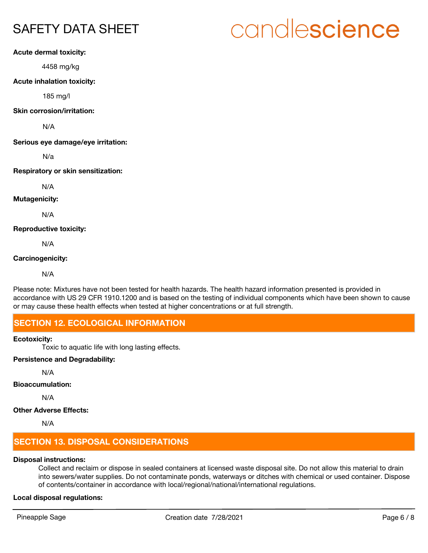# **Acute dermal toxicity:**

4458 mg/kg

### **Acute inhalation toxicity:**

185 mg/l

#### **Skin corrosion/irritation:**

N/A

**Serious eye damage/eye irritation:**

N/a

### **Respiratory or skin sensitization:**

N/A

# **Mutagenicity:**

N/A

# **Reproductive toxicity:**

N/A

### **Carcinogenicity:**

N/A

Please note: Mixtures have not been tested for health hazards. The health hazard information presented is provided in accordance with US 29 CFR 1910.1200 and is based on the testing of individual components which have been shown to cause or may cause these health effects when tested at higher concentrations or at full strength.

# **SECTION 12. ECOLOGICAL INFORMATION**

#### **Ecotoxicity:**

Toxic to aquatic life with long lasting effects.

# **Persistence and Degradability:**

N/A

# **Bioaccumulation:**

N/A

# **Other Adverse Effects:**

N/A

# **SECTION 13. DISPOSAL CONSIDERATIONS**

# **Disposal instructions:**

Collect and reclaim or dispose in sealed containers at licensed waste disposal site. Do not allow this material to drain into sewers/water supplies. Do not contaminate ponds, waterways or ditches with chemical or used container. Dispose of contents/container in accordance with local/regional/national/international regulations.

# **Local disposal regulations:**

# candlescience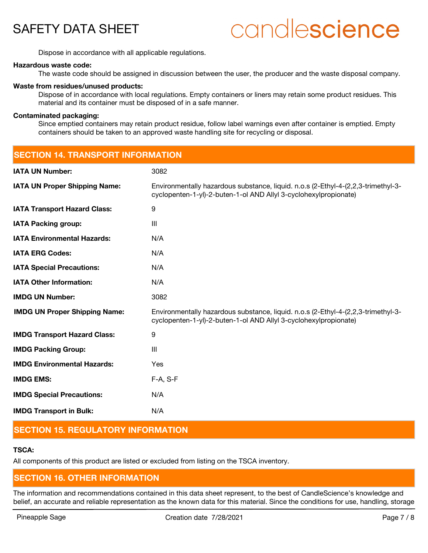# candlescience

Dispose in accordance with all applicable regulations.

#### **Hazardous waste code:**

The waste code should be assigned in discussion between the user, the producer and the waste disposal company.

#### **Waste from residues/unused products:**

Dispose of in accordance with local regulations. Empty containers or liners may retain some product residues. This material and its container must be disposed of in a safe manner.

#### **Contaminated packaging:**

Since emptied containers may retain product residue, follow label warnings even after container is emptied. Empty containers should be taken to an approved waste handling site for recycling or disposal.

| <b>SECTION 14. TRANSPORT INFORMATION</b> |                                                                                                                                                       |  |
|------------------------------------------|-------------------------------------------------------------------------------------------------------------------------------------------------------|--|
| <b>IATA UN Number:</b>                   | 3082                                                                                                                                                  |  |
| <b>IATA UN Proper Shipping Name:</b>     | Environmentally hazardous substance, liquid. n.o.s (2-Ethyl-4-(2,2,3-trimethyl-3-<br>cyclopenten-1-yl)-2-buten-1-ol AND Allyl 3-cyclohexylpropionate) |  |
| <b>IATA Transport Hazard Class:</b>      | 9                                                                                                                                                     |  |
| <b>IATA Packing group:</b>               | $\mathbf{III}$                                                                                                                                        |  |
| <b>IATA Environmental Hazards:</b>       | N/A                                                                                                                                                   |  |
| <b>IATA ERG Codes:</b>                   | N/A                                                                                                                                                   |  |
| <b>IATA Special Precautions:</b>         | N/A                                                                                                                                                   |  |
| <b>IATA Other Information:</b>           | N/A                                                                                                                                                   |  |
| <b>IMDG UN Number:</b>                   | 3082                                                                                                                                                  |  |
| <b>IMDG UN Proper Shipping Name:</b>     | Environmentally hazardous substance, liquid. n.o.s (2-Ethyl-4-(2,2,3-trimethyl-3-<br>cyclopenten-1-yl)-2-buten-1-ol AND Allyl 3-cyclohexylpropionate) |  |
| <b>IMDG Transport Hazard Class:</b>      | 9                                                                                                                                                     |  |
| <b>IMDG Packing Group:</b>               | $\mathbf{III}$                                                                                                                                        |  |
| <b>IMDG Environmental Hazards:</b>       | Yes                                                                                                                                                   |  |
| <b>IMDG EMS:</b>                         | $F-A, S-F$                                                                                                                                            |  |
| <b>IMDG Special Precautions:</b>         | N/A                                                                                                                                                   |  |
| <b>IMDG Transport in Bulk:</b>           | N/A                                                                                                                                                   |  |

# **SECTION 15. REGULATORY INFORMATION**

# **TSCA:**

All components of this product are listed or excluded from listing on the TSCA inventory.

# **SECTION 16. OTHER INFORMATION**

The information and recommendations contained in this data sheet represent, to the best of CandleScience's knowledge and belief, an accurate and reliable representation as the known data for this material. Since the conditions for use, handling, storage